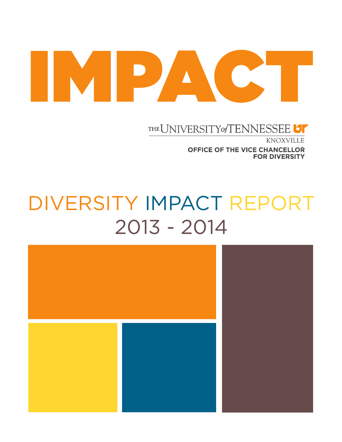# IMPACT

THE UNIVERSITY of TENNESSEE

KNOXVILLE OFFICE OF THE VICE CHANCELLOR **FOR DIVERSITY** 

# DIVERSITY IMPACT REPORT 2013 - 2014

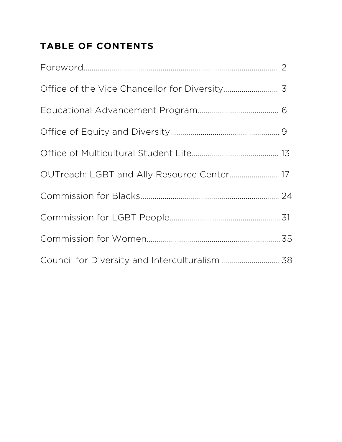# TABLE OF CONTENTS

| OUTreach: LGBT and Ally Resource Center 17     |  |
|------------------------------------------------|--|
|                                                |  |
|                                                |  |
|                                                |  |
| Council for Diversity and Interculturalism  38 |  |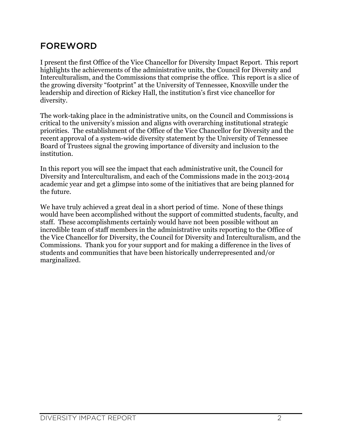# FOREWORD

I present the first Office of the Vice Chancellor for Diversity Impact Report. This report highlights the achievements of the administrative units, the Council for Diversity and Interculturalism, and the Commissions that comprise the office. This report is a slice of the growing diversity "footprint" at the University of Tennessee, Knoxville under the leadership and direction of Rickey Hall, the institution's first vice chancellor for diversity.

The work-taking place in the administrative units, on the Council and Commissions is critical to the university's mission and aligns with overarching institutional strategic priorities. The establishment of the Office of the Vice Chancellor for Diversity and the recent approval of a system-wide diversity statement by the University of Tennessee Board of Trustees signal the growing importance of diversity and inclusion to the institution.

In this report you will see the impact that each administrative unit, the Council for Diversity and Interculturalism, and each of the Commissions made in the 2013-2014 academic year and get a glimpse into some of the initiatives that are being planned for the future.

We have truly achieved a great deal in a short period of time. None of these things would have been accomplished without the support of committed students, faculty, and staff. These accomplishments certainly would have not been possible without an incredible team of staff members in the administrative units reporting to the Office of the Vice Chancellor for Diversity, the Council for Diversity and Interculturalism, and the Commissions. Thank you for your support and for making a difference in the lives of students and communities that have been historically underrepresented and/or marginalized.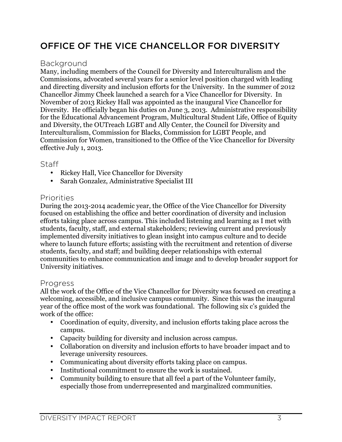# OFFICE OF THE VICE CHANCELLOR FOR DIVERSITY

#### Background

Many, including members of the Council for Diversity and Interculturalism and the Commissions, advocated several years for a senior level position charged with leading and directing diversity and inclusion efforts for the University. In the summer of 2012 Chancellor Jimmy Cheek launched a search for a Vice Chancellor for Diversity. In November of 2013 Rickey Hall was appointed as the inaugural Vice Chancellor for Diversity. He officially began his duties on June 3, 2013. Administrative responsibility for the Educational Advancement Program, Multicultural Student Life, Office of Equity and Diversity, the OUTreach LGBT and Ally Center, the Council for Diversity and Interculturalism, Commission for Blacks, Commission for LGBT People, and Commission for Women, transitioned to the Office of the Vice Chancellor for Diversity effective July 1, 2013.

#### Staff

- Rickey Hall, Vice Chancellor for Diversity
- Sarah Gonzalez, Administrative Specialist III

#### Priorities

During the 2013-2014 academic year, the Office of the Vice Chancellor for Diversity focused on establishing the office and better coordination of diversity and inclusion efforts taking place across campus. This included listening and learning as I met with students, faculty, staff, and external stakeholders; reviewing current and previously implemented diversity initiatives to glean insight into campus culture and to decide where to launch future efforts; assisting with the recruitment and retention of diverse students, faculty, and staff; and building deeper relationships with external communities to enhance communication and image and to develop broader support for University initiatives.

#### Progress

All the work of the Office of the Vice Chancellor for Diversity was focused on creating a welcoming, accessible, and inclusive campus community. Since this was the inaugural year of the office most of the work was foundational. The following six c's guided the work of the office:

- Coordination of equity, diversity, and inclusion efforts taking place across the campus.
- Capacity building for diversity and inclusion across campus.
- Collaboration on diversity and inclusion efforts to have broader impact and to leverage university resources.
- Communicating about diversity efforts taking place on campus.
- Institutional commitment to ensure the work is sustained.
- Community building to ensure that all feel a part of the Volunteer family, especially those from underrepresented and marginalized communities.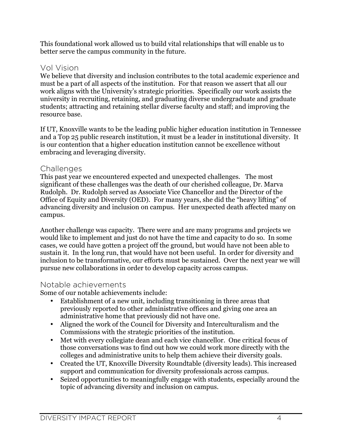This foundational work allowed us to build vital relationships that will enable us to better serve the campus community in the future.

#### Vol Vision

We believe that diversity and inclusion contributes to the total academic experience and must be a part of all aspects of the institution. For that reason we assert that all our work aligns with the University's strategic priorities. Specifically our work assists the university in recruiting, retaining, and graduating diverse undergraduate and graduate students; attracting and retaining stellar diverse faculty and staff; and improving the resource base.

If UT, Knoxville wants to be the leading public higher education institution in Tennessee and a Top 25 public research institution, it must be a leader in institutional diversity. It is our contention that a higher education institution cannot be excellence without embracing and leveraging diversity.

#### Challenges

This past year we encountered expected and unexpected challenges. The most significant of these challenges was the death of our cherished colleague, Dr. Marva Rudolph. Dr. Rudolph served as Associate Vice Chancellor and the Director of the Office of Equity and Diversity (OED). For many years, she did the "heavy lifting" of advancing diversity and inclusion on campus. Her unexpected death affected many on campus.

Another challenge was capacity. There were and are many programs and projects we would like to implement and just do not have the time and capacity to do so. In some cases, we could have gotten a project off the ground, but would have not been able to sustain it. In the long run, that would have not been useful. In order for diversity and inclusion to be transformative, our efforts must be sustained. Over the next year we will pursue new collaborations in order to develop capacity across campus.

#### Notable achievements

Some of our notable achievements include:

- Establishment of a new unit, including transitioning in three areas that previously reported to other administrative offices and giving one area an administrative home that previously did not have one.
- Aligned the work of the Council for Diversity and Interculturalism and the Commissions with the strategic priorities of the institution.
- Met with every collegiate dean and each vice chancellor. One critical focus of those conversations was to find out how we could work more directly with the colleges and administrative units to help them achieve their diversity goals.
- Created the UT, Knoxville Diversity Roundtable (diversity leads). This increased support and communication for diversity professionals across campus.
- Seized opportunities to meaningfully engage with students, especially around the topic of advancing diversity and inclusion on campus.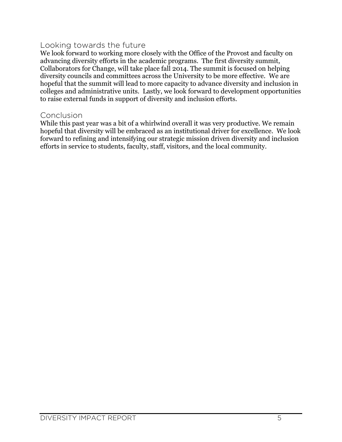#### Looking towards the future

We look forward to working more closely with the Office of the Provost and faculty on advancing diversity efforts in the academic programs. The first diversity summit, Collaborators for Change, will take place fall 2014. The summit is focused on helping diversity councils and committees across the University to be more effective. We are hopeful that the summit will lead to more capacity to advance diversity and inclusion in colleges and administrative units. Lastly, we look forward to development opportunities to raise external funds in support of diversity and inclusion efforts.

#### Conclusion

While this past year was a bit of a whirlwind overall it was very productive. We remain hopeful that diversity will be embraced as an institutional driver for excellence. We look forward to refining and intensifying our strategic mission driven diversity and inclusion efforts in service to students, faculty, staff, visitors, and the local community.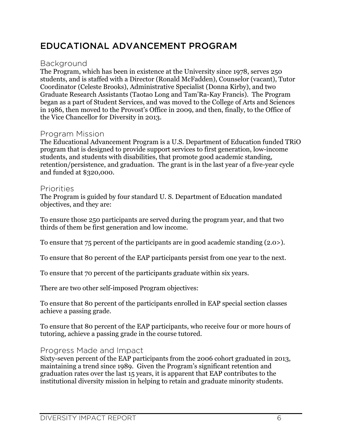### EDUCATIONAL ADVANCEMENT PROGRAM

#### Background

The Program, which has been in existence at the University since 1978, serves 250 students, and is staffed with a Director (Ronald McFadden), Counselor (vacant), Tutor Coordinator (Celeste Brooks), Administrative Specialist (Donna Kirby), and two Graduate Research Assistants (Taotao Long and Tam'Ra-Kay Francis). The Program began as a part of Student Services, and was moved to the College of Arts and Sciences in 1986, then moved to the Provost's Office in 2009, and then, finally, to the Office of the Vice Chancellor for Diversity in 2013.

#### Program Mission

The Educational Advancement Program is a U.S. Department of Education funded TRiO program that is designed to provide support services to first generation, low-income students, and students with disabilities, that promote good academic standing, retention/persistence, and graduation. The grant is in the last year of a five-year cycle and funded at \$320,000.

#### Priorities

The Program is guided by four standard U. S. Department of Education mandated objectives, and they are:

To ensure those 250 participants are served during the program year, and that two thirds of them be first generation and low income.

To ensure that 75 percent of the participants are in good academic standing (2.0>).

To ensure that 80 percent of the EAP participants persist from one year to the next.

To ensure that 70 percent of the participants graduate within six years.

There are two other self-imposed Program objectives:

To ensure that 80 percent of the participants enrolled in EAP special section classes achieve a passing grade.

To ensure that 80 percent of the EAP participants, who receive four or more hours of tutoring, achieve a passing grade in the course tutored.

#### Progress Made and Impact

Sixty-seven percent of the EAP participants from the 2006 cohort graduated in 2013, maintaining a trend since 1989. Given the Program's significant retention and graduation rates over the last 15 years, it is apparent that EAP contributes to the institutional diversity mission in helping to retain and graduate minority students.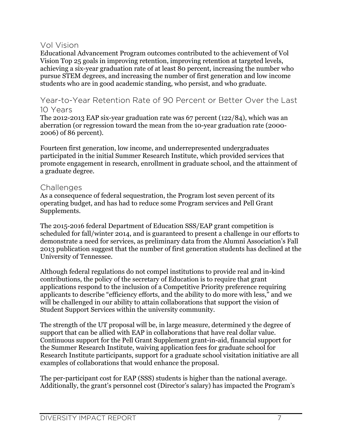#### Vol Vision

Educational Advancement Program outcomes contributed to the achievement of Vol Vision Top 25 goals in improving retention, improving retention at targeted levels, achieving a six-year graduation rate of at least 80 percent, increasing the number who pursue STEM degrees, and increasing the number of first generation and low income students who are in good academic standing, who persist, and who graduate.

#### Year-to-Year Retention Rate of 90 Percent or Better Over the Last 10 Years

The 2012-2013 EAP six-year graduation rate was 67 percent (122/84), which was an aberration (or regression toward the mean from the 10-year graduation rate (2000- 2006) of 86 percent).

Fourteen first generation, low income, and underrepresented undergraduates participated in the initial Summer Research Institute, which provided services that promote engagement in research, enrollment in graduate school, and the attainment of a graduate degree.

#### **Challenges**

As a consequence of federal sequestration, the Program lost seven percent of its operating budget, and has had to reduce some Program services and Pell Grant Supplements.

The 2015-2016 federal Department of Education SSS/EAP grant competition is scheduled for fall/winter 2014, and is guaranteed to present a challenge in our efforts to demonstrate a need for services, as preliminary data from the Alumni Association's Fall 2013 publication suggest that the number of first generation students has declined at the University of Tennessee.

Although federal regulations do not compel institutions to provide real and in-kind contributions, the policy of the secretary of Education is to require that grant applications respond to the inclusion of a Competitive Priority preference requiring applicants to describe "efficiency efforts, and the ability to do more with less," and we will be challenged in our ability to attain collaborations that support the vision of Student Support Services within the university community.

The strength of the UT proposal will be, in large measure, determined y the degree of support that can be allied with EAP in collaborations that have real dollar value. Continuous support for the Pell Grant Supplement grant-in-aid, financial support for the Summer Research Institute, waiving application fees for graduate school for Research Institute participants, support for a graduate school visitation initiative are all examples of collaborations that would enhance the proposal.

The per-participant cost for EAP (SSS) students is higher than the national average. Additionally, the grant's personnel cost (Director's salary) has impacted the Program's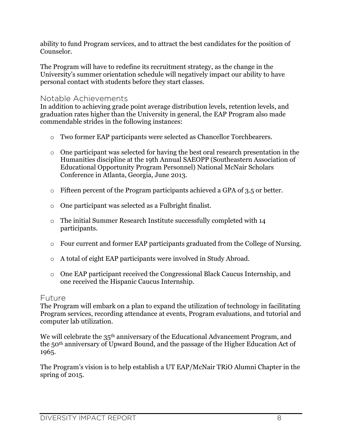ability to fund Program services, and to attract the best candidates for the position of Counselor.

The Program will have to redefine its recruitment strategy, as the change in the University's summer orientation schedule will negatively impact our ability to have personal contact with students before they start classes.

#### Notable Achievements

In addition to achieving grade point average distribution levels, retention levels, and graduation rates higher than the University in general, the EAP Program also made commendable strides in the following instances:

- o Two former EAP participants were selected as Chancellor Torchbearers.
- $\circ$  One participant was selected for having the best oral research presentation in the Humanities discipline at the 19th Annual SAEOPP (Southeastern Association of Educational Opportunity Program Personnel) National McNair Scholars Conference in Atlanta, Georgia, June 2013.
- o Fifteen percent of the Program participants achieved a GPA of 3.5 or better.
- o One participant was selected as a Fulbright finalist.
- o The initial Summer Research Institute successfully completed with 14 participants.
- o Four current and former EAP participants graduated from the College of Nursing.
- o A total of eight EAP participants were involved in Study Abroad.
- o One EAP participant received the Congressional Black Caucus Internship, and one received the Hispanic Caucus Internship.

#### Future

The Program will embark on a plan to expand the utilization of technology in facilitating Program services, recording attendance at events, Program evaluations, and tutorial and computer lab utilization.

We will celebrate the 35<sup>th</sup> anniversary of the Educational Advancement Program, and the 50th anniversary of Upward Bound, and the passage of the Higher Education Act of 1965.

The Program's vision is to help establish a UT EAP/McNair TRiO Alumni Chapter in the spring of 2015.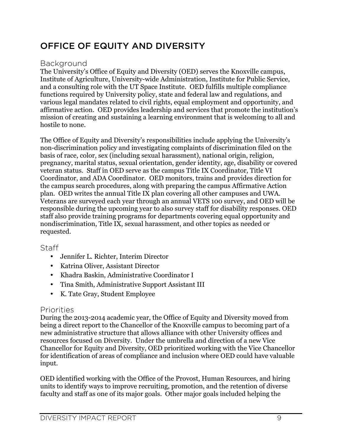# OFFICE OF EQUITY AND DIVERSITY

#### Background

The University's Office of Equity and Diversity (OED) serves the Knoxville campus, Institute of Agriculture, University-wide Administration, Institute for Public Service, and a consulting role with the UT Space Institute. OED fulfills multiple compliance functions required by University policy, state and federal law and regulations, and various legal mandates related to civil rights, equal employment and opportunity, and affirmative action. OED provides leadership and services that promote the institution's mission of creating and sustaining a learning environment that is welcoming to all and hostile to none.

The Office of Equity and Diversity's responsibilities include applying the University's non-discrimination policy and investigating complaints of discrimination filed on the basis of race, color, sex (including sexual harassment), national origin, religion, pregnancy, marital status, sexual orientation, gender identity, age, disability or covered veteran status. Staff in OED serve as the campus Title IX Coordinator, Title VI Coordinator, and ADA Coordinator. OED monitors, trains and provides direction for the campus search procedures, along with preparing the campus Affirmative Action plan. OED writes the annual Title IX plan covering all other campuses and UWA. Veterans are surveyed each year through an annual VETS 100 survey, and OED will be responsible during the upcoming year to also survey staff for disability responses. OED staff also provide training programs for departments covering equal opportunity and nondiscrimination, Title IX, sexual harassment, and other topics as needed or requested.

#### **Staff**

- Jennifer L. Richter, Interim Director
- Katrina Oliver, Assistant Director
- Khadra Baskin, Administrative Coordinator I
- Tina Smith, Administrative Support Assistant III
- K. Tate Gray, Student Employee

#### Priorities

During the 2013-2014 academic year, the Office of Equity and Diversity moved from being a direct report to the Chancellor of the Knoxville campus to becoming part of a new administrative structure that allows alliance with other University offices and resources focused on Diversity. Under the umbrella and direction of a new Vice Chancellor for Equity and Diversity, OED prioritized working with the Vice Chancellor for identification of areas of compliance and inclusion where OED could have valuable input.

OED identified working with the Office of the Provost, Human Resources, and hiring units to identify ways to improve recruiting, promotion, and the retention of diverse faculty and staff as one of its major goals. Other major goals included helping the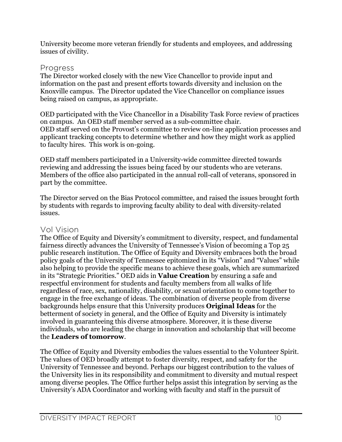University become more veteran friendly for students and employees, and addressing issues of civility.

#### Progress

The Director worked closely with the new Vice Chancellor to provide input and information on the past and present efforts towards diversity and inclusion on the Knoxville campus. The Director updated the Vice Chancellor on compliance issues being raised on campus, as appropriate.

OED participated with the Vice Chancellor in a Disability Task Force review of practices on campus. An OED staff member served as a sub-committee chair. OED staff served on the Provost's committee to review on-line application processes and applicant tracking concepts to determine whether and how they might work as applied to faculty hires. This work is on-going.

OED staff members participated in a University-wide committee directed towards reviewing and addressing the issues being faced by our students who are veterans. Members of the office also participated in the annual roll-call of veterans, sponsored in part by the committee.

The Director served on the Bias Protocol committee, and raised the issues brought forth by students with regards to improving faculty ability to deal with diversity-related issues.

#### Vol Vision

The Office of Equity and Diversity's commitment to diversity, respect, and fundamental fairness directly advances the University of Tennessee's Vision of becoming a Top 25 public research institution. The Office of Equity and Diversity embraces both the broad policy goals of the University of Tennessee epitomized in its "Vision" and "Values" while also helping to provide the specific means to achieve these goals, which are summarized in its "Strategic Priorities." OED aids in **Value Creation** by ensuring a safe and respectful environment for students and faculty members from all walks of life regardless of race, sex, nationality, disability, or sexual orientation to come together to engage in the free exchange of ideas. The combination of diverse people from diverse backgrounds helps ensure that this University produces **Original Ideas** for the betterment of society in general, and the Office of Equity and Diversity is intimately involved in guaranteeing this diverse atmosphere. Moreover, it is these diverse individuals, who are leading the charge in innovation and scholarship that will become the **Leaders of tomorrow**.

The Office of Equity and Diversity embodies the values essential to the Volunteer Spirit. The values of OED broadly attempt to foster diversity, respect, and safety for the University of Tennessee and beyond. Perhaps our biggest contribution to the values of the University lies in its responsibility and commitment to diversity and mutual respect among diverse peoples. The Office further helps assist this integration by serving as the University's ADA Coordinator and working with faculty and staff in the pursuit of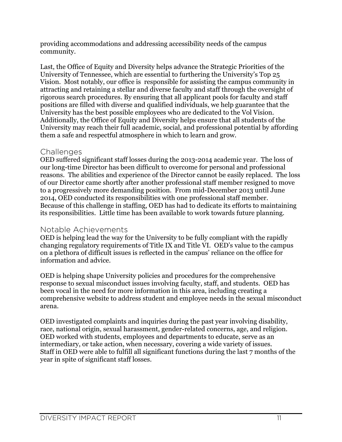providing accommodations and addressing accessibility needs of the campus community.

Last, the Office of Equity and Diversity helps advance the Strategic Priorities of the University of Tennessee, which are essential to furthering the University's Top 25 Vision. Most notably, our office is responsible for assisting the campus community in attracting and retaining a stellar and diverse faculty and staff through the oversight of rigorous search procedures. By ensuring that all applicant pools for faculty and staff positions are filled with diverse and qualified individuals, we help guarantee that the University has the best possible employees who are dedicated to the Vol Vision. Additionally, the Office of Equity and Diversity helps ensure that all students of the University may reach their full academic, social, and professional potential by affording them a safe and respectful atmosphere in which to learn and grow.

#### **Challenges**

OED suffered significant staff losses during the 2013-2014 academic year. The loss of our long-time Director has been difficult to overcome for personal and professional reasons. The abilities and experience of the Director cannot be easily replaced. The loss of our Director came shortly after another professional staff member resigned to move to a progressively more demanding position. From mid-December 2013 until June 2014, OED conducted its responsibilities with one professional staff member. Because of this challenge in staffing, OED has had to dedicate its efforts to maintaining its responsibilities. Little time has been available to work towards future planning.

#### Notable Achievements

OED is helping lead the way for the University to be fully compliant with the rapidly changing regulatory requirements of Title IX and Title VI. OED's value to the campus on a plethora of difficult issues is reflected in the campus' reliance on the office for information and advice.

OED is helping shape University policies and procedures for the comprehensive response to sexual misconduct issues involving faculty, staff, and students. OED has been vocal in the need for more information in this area, including creating a comprehensive website to address student and employee needs in the sexual misconduct arena.

OED investigated complaints and inquiries during the past year involving disability, race, national origin, sexual harassment, gender-related concerns, age, and religion. OED worked with students, employees and departments to educate, serve as an intermediary, or take action, when necessary, covering a wide variety of issues. Staff in OED were able to fulfill all significant functions during the last 7 months of the year in spite of significant staff losses.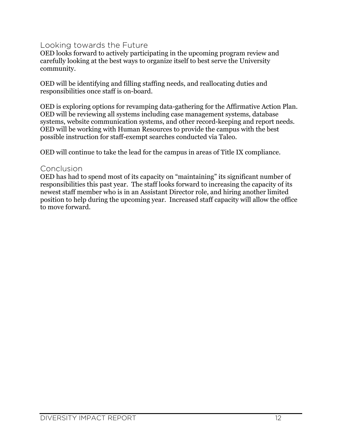#### Looking towards the Future

OED looks forward to actively participating in the upcoming program review and carefully looking at the best ways to organize itself to best serve the University community.

OED will be identifying and filling staffing needs, and reallocating duties and responsibilities once staff is on-board.

OED is exploring options for revamping data-gathering for the Affirmative Action Plan. OED will be reviewing all systems including case management systems, database systems, website communication systems, and other record-keeping and report needs. OED will be working with Human Resources to provide the campus with the best possible instruction for staff-exempt searches conducted via Taleo.

OED will continue to take the lead for the campus in areas of Title IX compliance.

#### **Conclusion**

OED has had to spend most of its capacity on "maintaining" its significant number of responsibilities this past year. The staff looks forward to increasing the capacity of its newest staff member who is in an Assistant Director role, and hiring another limited position to help during the upcoming year. Increased staff capacity will allow the office to move forward.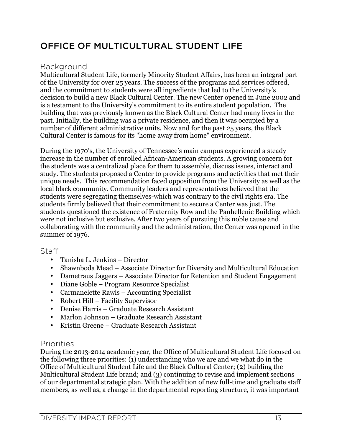# OFFICE OF MULTICULTURAL STUDENT LIFE

#### Background

Multicultural Student Life, formerly Minority Student Affairs, has been an integral part of the University for over 25 years. The success of the programs and services offered, and the commitment to students were all ingredients that led to the University's decision to build a new Black Cultural Center. The new Center opened in June 2002 and is a testament to the University's commitment to its entire student population. The building that was previously known as the Black Cultural Center had many lives in the past. Initially, the building was a private residence, and then it was occupied by a number of different administrative units. Now and for the past 25 years, the Black Cultural Center is famous for its "home away from home" environment.

During the 1970's, the University of Tennessee's main campus experienced a steady increase in the number of enrolled African-American students. A growing concern for the students was a centralized place for them to assemble, discuss issues, interact and study. The students proposed a Center to provide programs and activities that met their unique needs. This recommendation faced opposition from the University as well as the local black community. Community leaders and representatives believed that the students were segregating themselves-which was contrary to the civil rights era. The students firmly believed that their commitment to secure a Center was just. The students questioned the existence of Fraternity Row and the Panhellenic Building which were not inclusive but exclusive. After two years of pursuing this noble cause and collaborating with the community and the administration, the Center was opened in the summer of 1976.

#### Staff

- Tanisha L. Jenkins Director
- Shawnboda Mead Associate Director for Diversity and Multicultural Education
- Dametraus Jaggers Associate Director for Retention and Student Engagement
- Diane Goble Program Resource Specialist
- Carmanelette Rawls Accounting Specialist
- Robert Hill Facility Supervisor
- Denise Harris Graduate Research Assistant
- Marlon Johnson Graduate Research Assistant
- Kristin Greene Graduate Research Assistant

#### Priorities

During the 2013-2014 academic year, the Office of Multicultural Student Life focused on the following three priorities: (1) understanding who we are and we what do in the Office of Multicultural Student Life and the Black Cultural Center; (2) building the Multicultural Student Life brand; and (3) continuing to revise and implement sections of our departmental strategic plan. With the addition of new full-time and graduate staff members, as well as, a change in the departmental reporting structure, it was important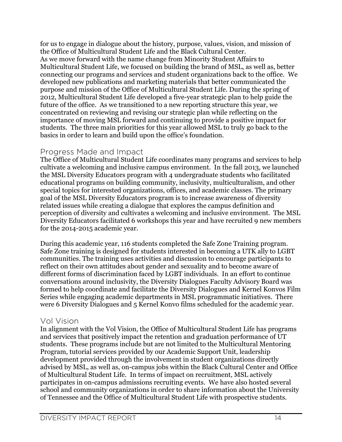for us to engage in dialogue about the history, purpose, values, vision, and mission of the Office of Multicultural Student Life and the Black Cultural Center. As we move forward with the name change from Minority Student Affairs to Multicultural Student Life, we focused on building the brand of MSL, as well as, better connecting our programs and services and student organizations back to the office. We developed new publications and marketing materials that better communicated the purpose and mission of the Office of Multicultural Student Life. During the spring of 2012, Multicultural Student Life developed a five-year strategic plan to help guide the future of the office. As we transitioned to a new reporting structure this year, we concentrated on reviewing and revising our strategic plan while reflecting on the importance of moving MSL forward and continuing to provide a positive impact for students. The three main priorities for this year allowed MSL to truly go back to the basics in order to learn and build upon the office's foundation.

#### Progress Made and Impact

The Office of Multicultural Student Life coordinates many programs and services to help cultivate a welcoming and inclusive campus environment. In the fall 2013, we launched the MSL Diversity Educators program with 4 undergraduate students who facilitated educational programs on building community, inclusivity, multiculturalism, and other special topics for interested organizations, offices, and academic classes. The primary goal of the MSL Diversity Educators program is to increase awareness of diversity related issues while creating a dialogue that explores the campus definition and perception of diversity and cultivates a welcoming and inclusive environment. The MSL Diversity Educators facilitated 6 workshops this year and have recruited 9 new members for the 2014-2015 academic year.

During this academic year, 116 students completed the Safe Zone Training program. Safe Zone training is designed for students interested in becoming a UTK ally to LGBT communities. The training uses activities and discussion to encourage participants to reflect on their own attitudes about gender and sexuality and to become aware of different forms of discrimination faced by LGBT individuals. In an effort to continue conversations around inclusivity, the Diversity Dialogues Faculty Advisory Board was formed to help coordinate and facilitate the Diversity Dialogues and Kernel Konvos Film Series while engaging academic departments in MSL programmatic initiatives. There were 6 Diversity Dialogues and 5 Kernel Konvo films scheduled for the academic year.

#### Vol Vision

In alignment with the Vol Vision, the Office of Multicultural Student Life has programs and services that positively impact the retention and graduation performance of UT students. These programs include but are not limited to the Multicultural Mentoring Program, tutorial services provided by our Academic Support Unit, leadership development provided through the involvement in student organizations directly advised by MSL, as well as, on-campus jobs within the Black Cultural Center and Office of Multicultural Student Life. In terms of impact on recruitment, MSL actively participates in on-campus admissions recruiting events. We have also hosted several school and community organizations in order to share information about the University of Tennessee and the Office of Multicultural Student Life with prospective students.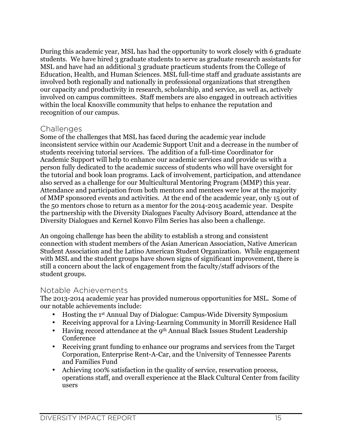During this academic year, MSL has had the opportunity to work closely with 6 graduate students. We have hired 3 graduate students to serve as graduate research assistants for MSL and have had an additional 3 graduate practicum students from the College of Education, Health, and Human Sciences. MSL full-time staff and graduate assistants are involved both regionally and nationally in professional organizations that strengthen our capacity and productivity in research, scholarship, and service, as well as, actively involved on campus committees. Staff members are also engaged in outreach activities within the local Knoxville community that helps to enhance the reputation and recognition of our campus.

#### **Challenges**

Some of the challenges that MSL has faced during the academic year include inconsistent service within our Academic Support Unit and a decrease in the number of students receiving tutorial services. The addition of a full-time Coordinator for Academic Support will help to enhance our academic services and provide us with a person fully dedicated to the academic success of students who will have oversight for the tutorial and book loan programs. Lack of involvement, participation, and attendance also served as a challenge for our Multicultural Mentoring Program (MMP) this year. Attendance and participation from both mentors and mentees were low at the majority of MMP sponsored events and activities. At the end of the academic year, only 15 out of the 50 mentors chose to return as a mentor for the 2014-2015 academic year. Despite the partnership with the Diversity Dialogues Faculty Advisory Board, attendance at the Diversity Dialogues and Kernel Konvo Film Series has also been a challenge.

An ongoing challenge has been the ability to establish a strong and consistent connection with student members of the Asian American Association, Native American Student Association and the Latino American Student Organization. While engagement with MSL and the student groups have shown signs of significant improvement, there is still a concern about the lack of engagement from the faculty/staff advisors of the student groups.

#### Notable Achievements

The 2013-2014 academic year has provided numerous opportunities for MSL. Some of our notable achievements include:

- Hosting the 1st Annual Day of Dialogue: Campus-Wide Diversity Symposium
- Receiving approval for a Living-Learning Community in Morrill Residence Hall
- Having record attendance at the 9<sup>th</sup> Annual Black Issues Student Leadership Conference
- Receiving grant funding to enhance our programs and services from the Target Corporation, Enterprise Rent-A-Car, and the University of Tennessee Parents and Families Fund
- Achieving 100% satisfaction in the quality of service, reservation process, operations staff, and overall experience at the Black Cultural Center from facility users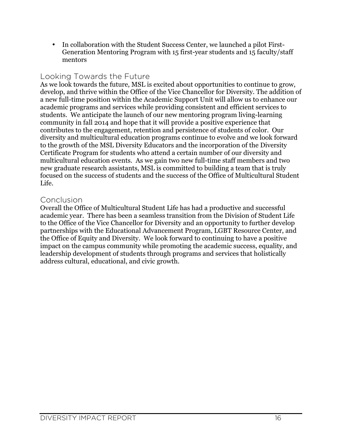• In collaboration with the Student Success Center, we launched a pilot First-Generation Mentoring Program with 15 first-year students and 15 faculty/staff mentors

#### Looking Towards the Future

As we look towards the future, MSL is excited about opportunities to continue to grow, develop, and thrive within the Office of the Vice Chancellor for Diversity. The addition of a new full-time position within the Academic Support Unit will allow us to enhance our academic programs and services while providing consistent and efficient services to students. We anticipate the launch of our new mentoring program living-learning community in fall 2014 and hope that it will provide a positive experience that contributes to the engagement, retention and persistence of students of color. Our diversity and multicultural education programs continue to evolve and we look forward to the growth of the MSL Diversity Educators and the incorporation of the Diversity Certificate Program for students who attend a certain number of our diversity and multicultural education events. As we gain two new full-time staff members and two new graduate research assistants, MSL is committed to building a team that is truly focused on the success of students and the success of the Office of Multicultural Student Life.

#### Conclusion

Overall the Office of Multicultural Student Life has had a productive and successful academic year. There has been a seamless transition from the Division of Student Life to the Office of the Vice Chancellor for Diversity and an opportunity to further develop partnerships with the Educational Advancement Program, LGBT Resource Center, and the Office of Equity and Diversity. We look forward to continuing to have a positive impact on the campus community while promoting the academic success, equality, and leadership development of students through programs and services that holistically address cultural, educational, and civic growth.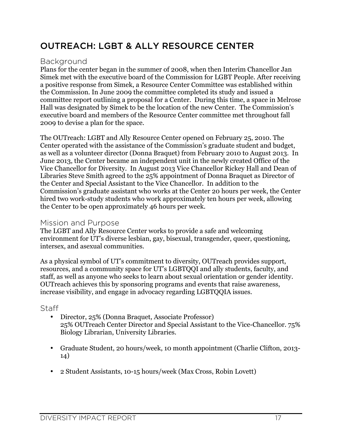# OUTREACH: LGBT & ALLY RESOURCE CENTER

#### **Background**

Plans for the center began in the summer of 2008, when then Interim Chancellor Jan Simek met with the executive board of the Commission for LGBT People. After receiving a positive response from Simek, a Resource Center Committee was established within the Commission. In June 2009 the committee completed its study and issued a committee report outlining a proposal for a Center. During this time, a space in Melrose Hall was designated by Simek to be the location of the new Center. The Commission's executive board and members of the Resource Center committee met throughout fall 2009 to devise a plan for the space.

The OUTreach: LGBT and Ally Resource Center opened on February 25, 2010. The Center operated with the assistance of the Commission's graduate student and budget, as well as a volunteer director (Donna Braquet) from February 2010 to August 2013. In June 2013, the Center became an independent unit in the newly created Office of the Vice Chancellor for Diversity. In August 2013 Vice Chancellor Rickey Hall and Dean of Libraries Steve Smith agreed to the 25% appointment of Donna Braquet as Director of the Center and Special Assistant to the Vice Chancellor. In addition to the Commission's graduate assistant who works at the Center 20 hours per week, the Center hired two work-study students who work approximately ten hours per week, allowing the Center to be open approximately 46 hours per week.

#### Mission and Purpose

The LGBT and Ally Resource Center works to provide a safe and welcoming environment for UT's diverse lesbian, gay, bisexual, transgender, queer, questioning, intersex, and asexual communities.

As a physical symbol of UT's commitment to diversity, OUTreach provides support, resources, and a community space for UT's LGBTQQI and ally students, faculty, and staff, as well as anyone who seeks to learn about sexual orientation or gender identity. OUTreach achieves this by sponsoring programs and events that raise awareness, increase visibility, and engage in advocacy regarding LGBTQQIA issues.

#### Staff

- Director, 25% (Donna Braquet, Associate Professor) 25% OUTreach Center Director and Special Assistant to the Vice-Chancellor. 75% Biology Librarian, University Libraries.
- Graduate Student, 20 hours/week, 10 month appointment (Charlie Clifton, 2013- 14)
- 2 Student Assistants, 10-15 hours/week (Max Cross, Robin Lovett)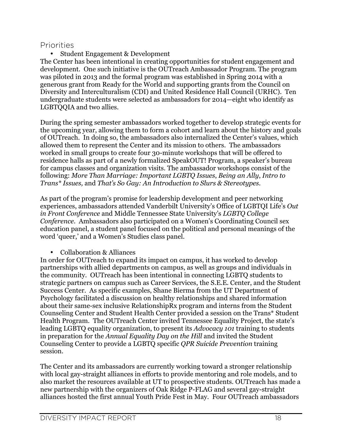#### Priorities

• Student Engagement & Development

The Center has been intentional in creating opportunities for student engagement and development. One such initiative is the OUTreach Ambassador Program. The program was piloted in 2013 and the formal program was established in Spring 2014 with a generous grant from Ready for the World and supporting grants from the Council on Diversity and Interculturalism (CDI) and United Residence Hall Council (URHC). Ten undergraduate students were selected as ambassadors for 2014—eight who identify as LGBTQQIA and two allies.

During the spring semester ambassadors worked together to develop strategic events for the upcoming year, allowing them to form a cohort and learn about the history and goals of OUTreach. In doing so, the ambassadors also internalized the Center's values, which allowed them to represent the Center and its mission to others. The ambassadors worked in small groups to create four 30-minute workshops that will be offered to residence halls as part of a newly formalized SpeakOUT! Program, a speaker's bureau for campus classes and organization visits. The ambassador workshops consist of the following: *More Than Marriage: Important LGBTQ Issues*, *Being an Ally*, *Intro to Trans\* Issues,* and *That's So Gay: An Introduction to Slurs & Stereotypes*.

As part of the program's promise for leadership development and peer networking experiences, ambassadors attended Vanderbilt University's Office of LGBTQI Life's *Out in Front Conference* and Middle Tennessee State University's *LGBTQ College Conference*. Ambassadors also participated on a Women's Coordinating Council sex education panel, a student panel focused on the political and personal meanings of the word 'queer,' and a Women's Studies class panel.

• Collaboration & Alliances

In order for OUTreach to expand its impact on campus, it has worked to develop partnerships with allied departments on campus, as well as groups and individuals in the community. OUTreach has been intentional in connecting LGBTQ students to strategic partners on campus such as Career Services, the S.E.E. Center, and the Student Success Center. As specific examples, Shane Bierma from the UT Department of Psychology facilitated a discussion on healthy relationships and shared information about their same-sex inclusive RelationshipRx program and interns from the Student Counseling Center and Student Health Center provided a session on the Trans\* Student Health Program. The OUTreach Center invited Tennessee Equality Project, the state's leading LGBTQ equality organization, to present its *Advocacy 101* training to students in preparation for the *Annual Equality Day on the Hill* and invited the Student Counseling Center to provide a LGBTQ specific *QPR Suicide Prevention* training session.

The Center and its ambassadors are currently working toward a stronger relationship with local gay-straight alliances in efforts to provide mentoring and role models, and to also market the resources available at UT to prospective students. OUTreach has made a new partnership with the organizers of Oak Ridge P-FLAG and several gay-straight alliances hosted the first annual Youth Pride Fest in May. Four OUTreach ambassadors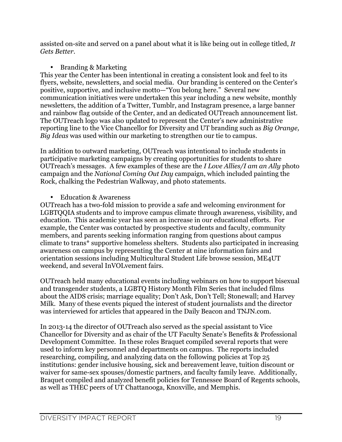assisted on-site and served on a panel about what it is like being out in college titled, *It Gets Better*.

• Branding & Marketing

This year the Center has been intentional in creating a consistent look and feel to its flyers, website, newsletters, and social media. Our branding is centered on the Center's positive, supportive, and inclusive motto—"You belong here." Several new communication initiatives were undertaken this year including a new website, monthly newsletters, the addition of a Twitter, Tumblr, and Instagram presence, a large banner and rainbow flag outside of the Center, and an dedicated OUTreach announcement list. The OUTreach logo was also updated to represent the Center's new administrative reporting line to the Vice Chancellor for Diversity and UT branding such as *Big Orange, Big Ideas* was used within our marketing to strengthen our tie to campus.

In addition to outward marketing, OUTreach was intentional to include students in participative marketing campaigns by creating opportunities for students to share OUTreach's messages. A few examples of these are the *I Love Allies/I am an Ally* photo campaign and the *National Coming Out Day* campaign, which included painting the Rock, chalking the Pedestrian Walkway, and photo statements.

• Education & Awareness

OUTreach has a two-fold mission to provide a safe and welcoming environment for LGBTQQIA students and to improve campus climate through awareness, visibility, and education. This academic year has seen an increase in our educational efforts. For example, the Center was contacted by prospective students and faculty, community members, and parents seeking information ranging from questions about campus climate to trans\* supportive homeless shelters. Students also participated in increasing awareness on campus by representing the Center at nine information fairs and orientation sessions including Multicultural Student Life browse session, ME4UT weekend, and several InVOLvement fairs.

OUTreach held many educational events including webinars on how to support bisexual and transgender students, a LGBTQ History Month Film Series that included films about the AIDS crisis; marriage equality; Don't Ask, Don't Tell; Stonewall; and Harvey Milk. Many of these events piqued the interest of student journalists and the director was interviewed for articles that appeared in the Daily Beacon and TNJN.com.

In 2013-14 the director of OUTreach also served as the special assistant to Vice Chancellor for Diversity and as chair of the UT Faculty Senate's Benefits & Professional Development Committee. In these roles Braquet compiled several reports that were used to inform key personnel and departments on campus. The reports included researching, compiling, and analyzing data on the following policies at Top 25 institutions: gender inclusive housing, sick and bereavement leave, tuition discount or waiver for same-sex spouses/domestic partners, and faculty family leave. Additionally, Braquet compiled and analyzed benefit policies for Tennessee Board of Regents schools, as well as THEC peers of UT Chattanooga, Knoxville, and Memphis.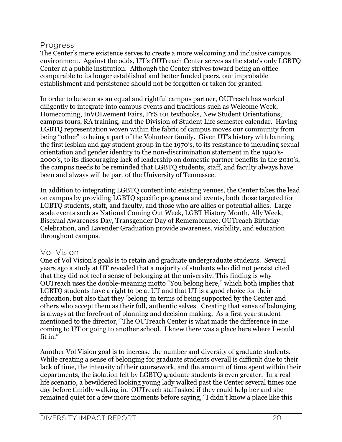#### Progress

The Center's mere existence serves to create a more welcoming and inclusive campus environment. Against the odds, UT's OUTreach Center serves as the state's only LGBTQ Center at a public institution. Although the Center strives toward being an office comparable to its longer established and better funded peers, our improbable establishment and persistence should not be forgotten or taken for granted.

In order to be seen as an equal and rightful campus partner, OUTreach has worked diligently to integrate into campus events and traditions such as Welcome Week, Homecoming, InVOLvement Fairs, FYS 101 textbooks, New Student Orientations, campus tours, RA training, and the Division of Student Life semester calendar. Having LGBTQ representation woven within the fabric of campus moves our community from being "other" to being a part of the Volunteer family. Given UT's history with banning the first lesbian and gay student group in the 1970's, to its resistance to including sexual orientation and gender identity to the non-discrimination statement in the 1990's-2000's, to its discouraging lack of leadership on domestic partner benefits in the 2010's, the campus needs to be reminded that LGBTQ students, staff, and faculty always have been and always will be part of the University of Tennessee.

In addition to integrating LGBTQ content into existing venues, the Center takes the lead on campus by providing LGBTQ specific programs and events, both those targeted for LGBTQ students, staff, and faculty, and those who are allies or potential allies. Largescale events such as National Coming Out Week, LGBT History Month, Ally Week, Bisexual Awareness Day, Transgender Day of Remembrance, OUTreach Birthday Celebration, and Lavender Graduation provide awareness, visibility, and education throughout campus.

#### Vol Vision

One of Vol Vision's goals is to retain and graduate undergraduate students. Several years ago a study at UT revealed that a majority of students who did not persist cited that they did not feel a sense of belonging at the university. This finding is why OUTreach uses the double-meaning motto "You belong here," which both implies that LGBTQ students have a right to be at UT and that UT is a good choice for their education, but also that they 'belong' in terms of being supported by the Center and others who accept them as their full, authentic selves. Creating that sense of belonging is always at the forefront of planning and decision making. As a first year student mentioned to the director, "The OUTreach Center is what made the difference in me coming to UT or going to another school. I knew there was a place here where I would fit in."

Another Vol Vision goal is to increase the number and diversity of graduate students. While creating a sense of belonging for graduate students overall is difficult due to their lack of time, the intensity of their coursework, and the amount of time spent within their departments, the isolation felt by LGBTQ graduate students is even greater. In a real life scenario, a bewildered looking young lady walked past the Center several times one day before timidly walking in. OUTreach staff asked if they could help her and she remained quiet for a few more moments before saying, "I didn't know a place like this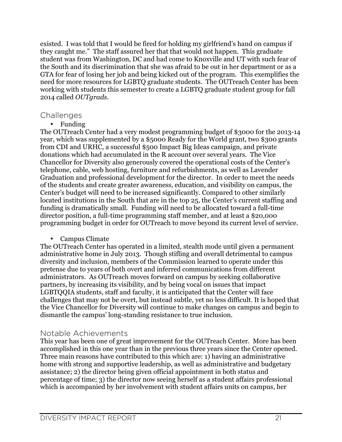existed. I was told that I would be fired for holding my girlfriend's hand on campus if they caught me." The staff assured her that that would not happen. This graduate student was from Washington, DC and had come to Knoxville and UT with such fear of the South and its discrimination that she was afraid to be out in her department or as a GTA for fear of losing her job and being kicked out of the program. This exemplifies the need for more resources for LGBTQ graduate students. The OUTreach Center has been working with students this semester to create a LGBTQ graduate student group for fall 2014 called *OUTgrads*.

#### **Challenges**

• Funding

The OUTreach Center had a very modest programming budget of \$3000 for the 2013-14 year, which was supplemented by a \$5000 Ready for the World grant, two \$300 grants from CDI and URHC, a successful \$500 Impact Big Ideas campaign, and private donations which had accumulated in the R account over several years. The Vice Chancellor for Diversity also generously covered the operational costs of the Center's telephone, cable, web hosting, furniture and refurbishments, as well as Lavender Graduation and professional development for the director. In order to meet the needs of the students and create greater awareness, education, and visibility on campus, the Center's budget will need to be increased significantly. Compared to other similarly located institutions in the South that are in the top 25, the Center's current staffing and funding is dramatically small. Funding will need to be allocated toward a full-time director position, a full-time programming staff member, and at least a \$20,000 programming budget in order for OUTreach to move beyond its current level of service.

• Campus Climate

The OUTreach Center has operated in a limited, stealth mode until given a permanent administrative home in July 2013. Though stifling and overall detrimental to campus diversity and inclusion, members of the Commission learned to operate under this pretense due to years of both overt and inferred communications from different administrators. As OUTreach moves forward on campus by seeking collaborative partners, by increasing its visibility, and by being vocal on issues that impact LGBTQQIA students, staff and faculty, it is anticipated that the Center will face challenges that may not be overt, but instead subtle, yet no less difficult. It is hoped that the Vice Chancellor for Diversity will continue to make changes on campus and begin to dismantle the campus' long-standing resistance to true inclusion.

#### Notable Achievements

This year has been one of great improvement for the OUTreach Center. More has been accomplished in this one year than in the previous three years since the Center opened. Three main reasons have contributed to this which are: 1) having an administrative home with strong and supportive leadership, as well as administrative and budgetary assistance; 2) the director being given official appointment in both status and percentage of time; 3) the director now seeing herself as a student affairs professional which is accompanied by her involvement with student affairs units on campus, her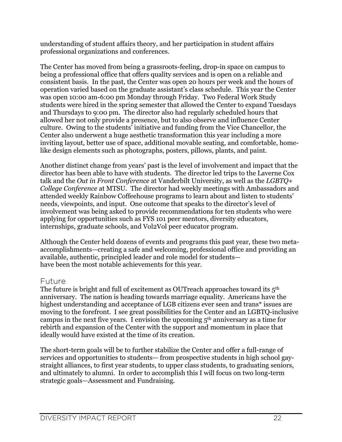understanding of student affairs theory, and her participation in student affairs professional organizations and conferences.

The Center has moved from being a grassroots-feeling, drop-in space on campus to being a professional office that offers quality services and is open on a reliable and consistent basis. In the past, the Center was open 20 hours per week and the hours of operation varied based on the graduate assistant's class schedule. This year the Center was open 10:00 am-6:00 pm Monday through Friday. Two Federal Work Study students were hired in the spring semester that allowed the Center to expand Tuesdays and Thursdays to 9:00 pm. The director also had regularly scheduled hours that allowed her not only provide a presence, but to also observe and influence Center culture. Owing to the students' initiative and funding from the Vice Chancellor, the Center also underwent a huge aesthetic transformation this year including a more inviting layout, better use of space, additional movable seating, and comfortable, homelike design elements such as photographs, posters, pillows, plants, and paint.

Another distinct change from years' past is the level of involvement and impact that the director has been able to have with students. The director led trips to the Laverne Cox talk and the *Out in Front Conference* at Vanderbilt University, as well as the *LGBTQ+ College Conference* at MTSU. The director had weekly meetings with Ambassadors and attended weekly Rainbow Coffeehouse programs to learn about and listen to students' needs, viewpoints, and input. One outcome that speaks to the director's level of involvement was being asked to provide recommendations for ten students who were applying for opportunities such as FYS 101 peer mentors, diversity educators, internships, graduate schools, and Vol2Vol peer educator program.

Although the Center held dozens of events and programs this past year, these two metaaccomplishments—creating a safe and welcoming, professional office and providing an available, authentic, principled leader and role model for students have been the most notable achievements for this year.

#### Future

The future is bright and full of excitement as OUTreach approaches toward its 5<sup>th</sup> anniversary. The nation is heading towards marriage equality. Americans have the highest understanding and acceptance of LGB citizens ever seen and trans<sup>\*</sup> issues are moving to the forefront. I see great possibilities for the Center and an LGBTQ-inclusive campus in the next five years. I envision the upcoming 5th anniversary as a time for rebirth and expansion of the Center with the support and momentum in place that ideally would have existed at the time of its creation.

The short-term goals will be to further stabilize the Center and offer a full-range of services and opportunities to students— from prospective students in high school gaystraight alliances, to first year students, to upper class students, to graduating seniors, and ultimately to alumni. In order to accomplish this I will focus on two long-term strategic goals—Assessment and Fundraising.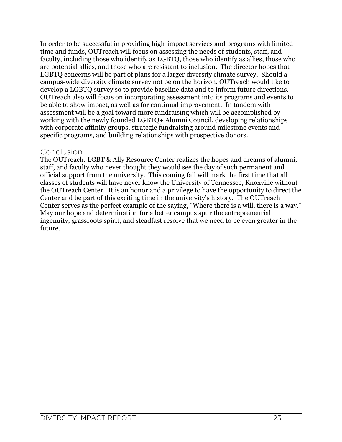In order to be successful in providing high-impact services and programs with limited time and funds, OUTreach will focus on assessing the needs of students, staff, and faculty, including those who identify as LGBTQ, those who identify as allies, those who are potential allies, and those who are resistant to inclusion. The director hopes that LGBTQ concerns will be part of plans for a larger diversity climate survey. Should a campus-wide diversity climate survey not be on the horizon, OUTreach would like to develop a LGBTQ survey so to provide baseline data and to inform future directions. OUTreach also will focus on incorporating assessment into its programs and events to be able to show impact, as well as for continual improvement. In tandem with assessment will be a goal toward more fundraising which will be accomplished by working with the newly founded LGBTQ+ Alumni Council, developing relationships with corporate affinity groups, strategic fundraising around milestone events and specific programs, and building relationships with prospective donors.

#### Conclusion

The OUTreach: LGBT & Ally Resource Center realizes the hopes and dreams of alumni, staff, and faculty who never thought they would see the day of such permanent and official support from the university. This coming fall will mark the first time that all classes of students will have never know the University of Tennessee, Knoxville without the OUTreach Center. It is an honor and a privilege to have the opportunity to direct the Center and be part of this exciting time in the university's history. The OUTreach Center serves as the perfect example of the saying, "Where there is a will, there is a way." May our hope and determination for a better campus spur the entrepreneurial ingenuity, grassroots spirit, and steadfast resolve that we need to be even greater in the future.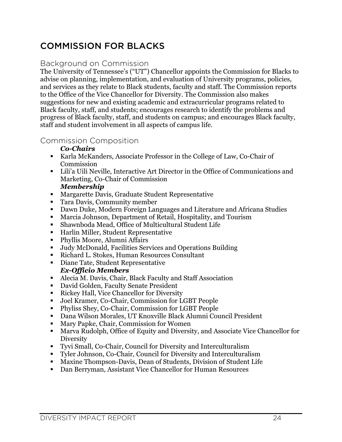# COMMISSION FOR BLACKS

#### Background on Commission

The University of Tennessee's ("UT") Chancellor appoints the Commission for Blacks to advise on planning, implementation, and evaluation of University programs, policies, and services as they relate to Black students, faculty and staff. The Commission reports to the Office of the Vice Chancellor for Diversity. The Commission also makes suggestions for new and existing academic and extracurricular programs related to Black faculty, staff, and students; encourages research to identify the problems and progress of Black faculty, staff, and students on campus; and encourages Black faculty, staff and student involvement in all aspects of campus life.

#### Commission Composition

#### *Co-Chairs*

- ! Karla McKanders, Associate Professor in the College of Law, Co-Chair of **Commission**
- ! Lili'a Uili Neville, Interactive Art Director in the Office of Communications and Marketing, Co-Chair of Commission

#### *Membership*

- ! Margarette Davis, Graduate Student Representative
- ! Tara Davis, Community member
- ! Dawn Duke, Modern Foreign Languages and Literature and Africana Studies
- ! Marcia Johnson, Department of Retail, Hospitality, and Tourism
- ! Shawnboda Mead, Office of Multicultural Student Life
- ! Harlin Miller, Student Representative
- ! Phyllis Moore, Alumni Affairs
- ! Judy McDonald, Facilities Services and Operations Building
- ! Richard L. Stokes, Human Resources Consultant
- ! Diane Tate, Student Representative *Ex-Officio Members*
- ! Alecia M. Davis, Chair, Black Faculty and Staff Association
- ! David Golden, Faculty Senate President
- ! Rickey Hall, Vice Chancellor for Diversity
- ! Joel Kramer, Co-Chair, Commission for LGBT People
- ! Phyliss Shey, Co-Chair, Commission for LGBT People
- ! Dana Wilson Morales, UT Knoxville Black Alumni Council President
- ! Mary Papke, Chair, Commission for Women
- ! Marva Rudolph, Office of Equity and Diversity, and Associate Vice Chancellor for Diversity
- ! Tyvi Small, Co-Chair, Council for Diversity and Interculturalism
- ! Tyler Johnson, Co-Chair, Council for Diversity and Interculturalism
- ! Maxine Thompson-Davis, Dean of Students, Division of Student Life
- ! Dan Berryman, Assistant Vice Chancellor for Human Resources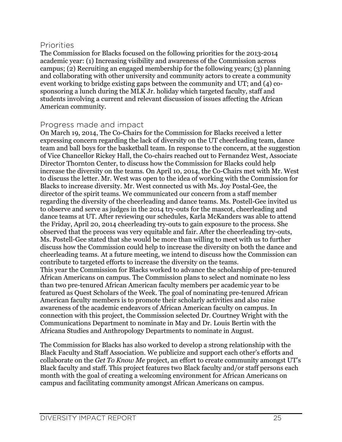#### Priorities

The Commission for Blacks focused on the following priorities for the 2013-2014 academic year: (1) Increasing visibility and awareness of the Commission across campus; (2) Recruiting an engaged membership for the following years; (3) planning and collaborating with other university and community actors to create a community event working to bridge existing gaps between the community and UT; and (4) cosponsoring a lunch during the MLK Jr. holiday which targeted faculty, staff and students involving a current and relevant discussion of issues affecting the African American community.

#### Progress made and impact

On March 19, 2014, The Co-Chairs for the Commission for Blacks received a letter expressing concern regarding the lack of diversity on the UT cheerleading team, dance team and ball boys for the basketball team. In response to the concern, at the suggestion of Vice Chancellor Rickey Hall, the Co-chairs reached out to Fernandez West, Associate Director Thornton Center, to discuss how the Commission for Blacks could help increase the diversity on the teams. On April 10, 2014, the Co-Chairs met with Mr. West to discuss the letter. Mr. West was open to the idea of working with the Commission for Blacks to increase diversity. Mr. West connected us with Ms. Joy Postal-Gee, the director of the spirit teams. We communicated our concern from a staff member regarding the diversity of the cheerleading and dance teams. Ms. Postell-Gee invited us to observe and serve as judges in the 2014 try-outs for the mascot, cheerleading and dance teams at UT. After reviewing our schedules, Karla McKanders was able to attend the Friday, April 20, 2014 cheerleading try-outs to gain exposure to the process. She observed that the process was very equitable and fair. After the cheerleading try-outs, Ms. Postell-Gee stated that she would be more than willing to meet with us to further discuss how the Commission could help to increase the diversity on both the dance and cheerleading teams. At a future meeting, we intend to discuss how the Commission can contribute to targeted efforts to increase the diversity on the teams. This year the Commission for Blacks worked to advance the scholarship of pre-tenured African Americans on campus. The Commission plans to select and nominate no less than two pre-tenured African American faculty members per academic year to be featured as Quest Scholars of the Week. The goal of nominating pre-tenured African American faculty members is to promote their scholarly activities and also raise awareness of the academic endeavors of African American faculty on campus. In connection with this project, the Commission selected Dr. Courtney Wright with the Communications Department to nominate in May and Dr. Louis Bertin with the Africana Studies and Anthropology Departments to nominate in August.

The Commission for Blacks has also worked to develop a strong relationship with the Black Faculty and Staff Association. We publicize and support each other's efforts and collaborate on the *Get To Know Me* project, an effort to create community amongst UT's Black faculty and staff. This project features two Black faculty and/or staff persons each month with the goal of creating a welcoming environment for African Americans on campus and facilitating community amongst African Americans on campus.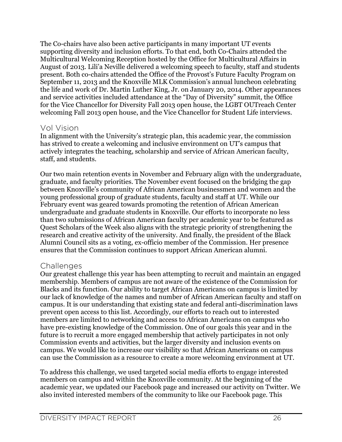The Co-chairs have also been active participants in many important UT events supporting diversity and inclusion efforts. To that end, both Co-Chairs attended the Multicultural Welcoming Reception hosted by the Office for Multicultural Affairs in August of 2013. Lili'a Neville delivered a welcoming speech to faculty, staff and students present. Both co-chairs attended the Office of the Provost's Future Faculty Program on September 11, 2013 and the Knoxville MLK Commission's annual luncheon celebrating the life and work of Dr. Martin Luther King, Jr. on January 20, 2014. Other appearances and service activities included attendance at the "Day of Diversity" summit, the Office for the Vice Chancellor for Diversity Fall 2013 open house, the LGBT OUTreach Center welcoming Fall 2013 open house, and the Vice Chancellor for Student Life interviews.

#### Vol Vision

In alignment with the University's strategic plan, this academic year, the commission has strived to create a welcoming and inclusive environment on UT's campus that actively integrates the teaching, scholarship and service of African American faculty, staff, and students.

Our two main retention events in November and February align with the undergraduate, graduate, and faculty priorities. The November event focused on the bridging the gap between Knoxville's community of African American businessmen and women and the young professional group of graduate students, faculty and staff at UT. While our February event was geared towards promoting the retention of African American undergraduate and graduate students in Knoxville. Our efforts to incorporate no less than two submissions of African American faculty per academic year to be featured as Quest Scholars of the Week also aligns with the strategic priority of strengthening the research and creative activity of the university. And finally, the president of the Black Alumni Council sits as a voting, ex-officio member of the Commission. Her presence ensures that the Commission continues to support African American alumni.

#### Challenges

Our greatest challenge this year has been attempting to recruit and maintain an engaged membership. Members of campus are not aware of the existence of the Commission for Blacks and its function. Our ability to target African Americans on campus is limited by our lack of knowledge of the names and number of African American faculty and staff on campus. It is our understanding that existing state and federal anti-discrimination laws prevent open access to this list. Accordingly, our efforts to reach out to interested members are limited to networking and access to African Americans on campus who have pre-existing knowledge of the Commission. One of our goals this year and in the future is to recruit a more engaged membership that actively participates in not only Commission events and activities, but the larger diversity and inclusion events on campus. We would like to increase our visibility so that African Americans on campus can use the Commission as a resource to create a more welcoming environment at UT.

To address this challenge, we used targeted social media efforts to engage interested members on campus and within the Knoxville community. At the beginning of the academic year, we updated our Facebook page and increased our activity on Twitter. We also invited interested members of the community to like our Facebook page. This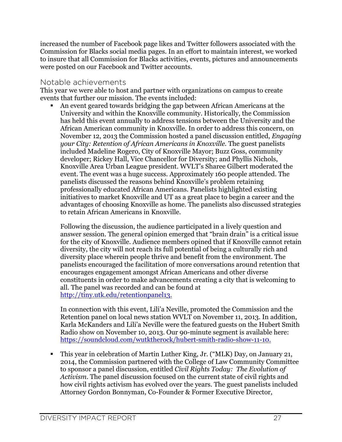increased the number of Facebook page likes and Twitter followers associated with the Commission for Blacks social media pages. In an effort to maintain interest, we worked to insure that all Commission for Blacks activities, events, pictures and announcements were posted on our Facebook and Twitter accounts.

#### Notable achievements

This year we were able to host and partner with organizations on campus to create events that further our mission. The events included:

! An event geared towards bridging the gap between African Americans at the University and within the Knoxville community. Historically, the Commission has held this event annually to address tensions between the University and the African American community in Knoxville. In order to address this concern, on November 12, 2013 the Commission hosted a panel discussion entitled, *Engaging your City: Retention of African Americans in Knoxville.* The guest panelists included Madeline Rogero, City of Knoxville Mayor; Buzz Goss, community developer; Rickey Hall, Vice Chancellor for Diversity; and Phyllis Nichols, Knoxville Area Urban League president. WVLT's Sharee Gilbert moderated the event. The event was a huge success. Approximately 160 people attended. The panelists discussed the reasons behind Knoxville's problem retaining professionally educated African Americans. Panelists highlighted existing initiatives to market Knoxville and UT as a great place to begin a career and the advantages of choosing Knoxville as home. The panelists also discussed strategies to retain African Americans in Knoxville.

Following the discussion, the audience participated in a lively question and answer session. The general opinion emerged that "brain drain" is a critical issue for the city of Knoxville. Audience members opined that if Knoxville cannot retain diversity, the city will not reach its full potential of being a culturally rich and diversity place wherein people thrive and benefit from the environment. The panelists encouraged the facilitation of more conversations around retention that encourages engagement amongst African Americans and other diverse constituents in order to make advancements creating a city that is welcoming to all. The panel was recorded and can be found at http://tiny.utk.edu/retentionpanel13.

In connection with this event, Lili'a Neville, promoted the Commission and the Retention panel on local news station WVLT on November 11, 2013. In addition, Karla McKanders and Lili'a Neville were the featured guests on the Hubert Smith Radio show on November 10, 2013. Our 90-minute segment is available here: https://soundcloud.com/wutktherock/hubert-smith-radio-show-11-10.

! This year in celebration of Martin Luther King, Jr. ("MLK) Day, on January 21, 2014, the Commission partnered with the College of Law Community Committee to sponsor a panel discussion, entitled *Civil Rights Today: The Evolution of Activism*. The panel discussion focused on the current state of civil rights and how civil rights activism has evolved over the years. The guest panelists included Attorney Gordon Bonnyman, Co-Founder & Former Executive Director,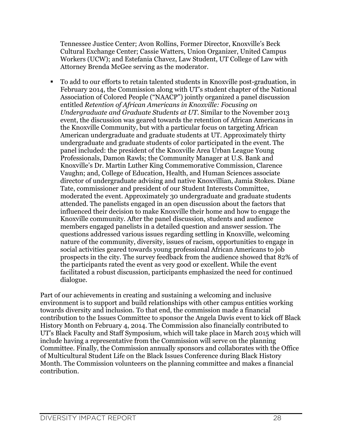Tennessee Justice Center; Avon Rollins, Former Director, Knoxville's Beck Cultural Exchange Center; Cassie Watters, Union Organizer, United Campus Workers (UCW); and Estefania Chavez, Law Student, UT College of Law with Attorney Brenda McGee serving as the moderator.

! To add to our efforts to retain talented students in Knoxville post-graduation, in February 2014, the Commission along with UT's student chapter of the National Association of Colored People ("NAACP") jointly organized a panel discussion entitled *Retention of African Americans in Knoxville: Focusing on Undergraduate and Graduate Students at UT*. Similar to the November 2013 event, the discussion was geared towards the retention of African Americans in the Knoxville Community, but with a particular focus on targeting African American undergraduate and graduate students at UT. Approximately thirty undergraduate and graduate students of color participated in the event. The panel included: the president of the Knoxville Area Urban League Young Professionals, Damon Rawls; the Community Manager at U.S. Bank and Knoxville's Dr. Martin Luther King Commemorative Commission, Clarence Vaughn; and, College of Education, Health, and Human Sciences associate director of undergraduate advising and native Knoxvillian, Jamia Stokes. Diane Tate, commissioner and president of our Student Interests Committee, moderated the event. Approximately 30 undergraduate and graduate students attended. The panelists engaged in an open discussion about the factors that influenced their decision to make Knoxville their home and how to engage the Knoxville community. After the panel discussion, students and audience members engaged panelists in a detailed question and answer session. The questions addressed various issues regarding settling in Knoxville, welcoming nature of the community, diversity, issues of racism, opportunities to engage in social activities geared towards young professional African Americans to job prospects in the city. The survey feedback from the audience showed that 82% of the participants rated the event as very good or excellent. While the event facilitated a robust discussion, participants emphasized the need for continued dialogue.

Part of our achievements in creating and sustaining a welcoming and inclusive environment is to support and build relationships with other campus entities working towards diversity and inclusion. To that end, the commission made a financial contribution to the Issues Committee to sponsor the Angela Davis event to kick off Black History Month on February 4, 2014. The Commission also financially contributed to UT's Black Faculty and Staff Symposium, which will take place in March 2015 which will include having a representative from the Commission will serve on the planning Committee. Finally, the Commission annually sponsors and collaborates with the Office of Multicultural Student Life on the Black Issues Conference during Black History Month. The Commission volunteers on the planning committee and makes a financial contribution.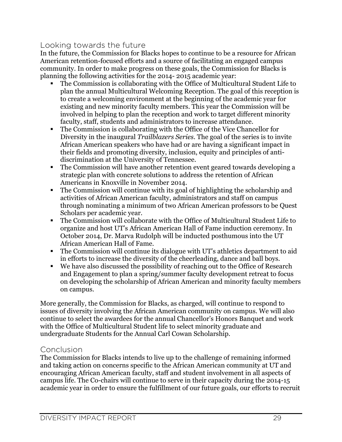#### Looking towards the future

In the future, the Commission for Blacks hopes to continue to be a resource for African American retention-focused efforts and a source of facilitating an engaged campus community. In order to make progress on these goals, the Commission for Blacks is planning the following activities for the 2014- 2015 academic year:

- ! The Commission is collaborating with the Office of Multicultural Student Life to plan the annual Multicultural Welcoming Reception. The goal of this reception is to create a welcoming environment at the beginning of the academic year for existing and new minority faculty members. This year the Commission will be involved in helping to plan the reception and work to target different minority faculty, staff, students and administrators to increase attendance.
- ! The Commission is collaborating with the Office of the Vice Chancellor for Diversity in the inaugural *Trailblazers Series*. The goal of the series is to invite African American speakers who have had or are having a significant impact in their fields and promoting diversity, inclusion, equity and principles of antidiscrimination at the University of Tennessee.
- ! The Commission will have another retention event geared towards developing a strategic plan with concrete solutions to address the retention of African Americans in Knoxville in November 2014.
- ! The Commission will continue with its goal of highlighting the scholarship and activities of African American faculty, administrators and staff on campus through nominating a minimum of two African American professors to be Quest Scholars per academic year.
- ! The Commission will collaborate with the Office of Multicultural Student Life to organize and host UT's African American Hall of Fame induction ceremony. In October 2014, Dr. Marva Rudolph will be inducted posthumous into the UT African American Hall of Fame.
- ! The Commission will continue its dialogue with UT's athletics department to aid in efforts to increase the diversity of the cheerleading, dance and ball boys.
- ! We have also discussed the possibility of reaching out to the Office of Research and Engagement to plan a spring/summer faculty development retreat to focus on developing the scholarship of African American and minority faculty members on campus.

More generally, the Commission for Blacks, as charged, will continue to respond to issues of diversity involving the African American community on campus. We will also continue to select the awardees for the annual Chancellor's Honors Banquet and work with the Office of Multicultural Student life to select minority graduate and undergraduate Students for the Annual Carl Cowan Scholarship.

#### Conclusion

The Commission for Blacks intends to live up to the challenge of remaining informed and taking action on concerns specific to the African American community at UT and encouraging African American faculty, staff and student involvement in all aspects of campus life. The Co-chairs will continue to serve in their capacity during the 2014-15 academic year in order to ensure the fulfillment of our future goals, our efforts to recruit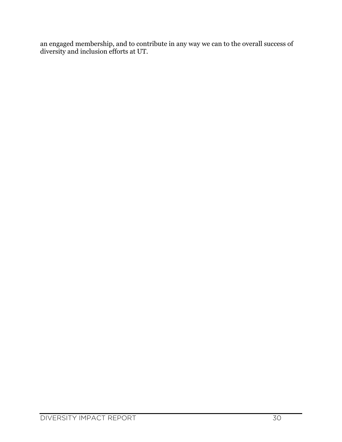an engaged membership, and to contribute in any way we can to the overall success of diversity and inclusion efforts at UT.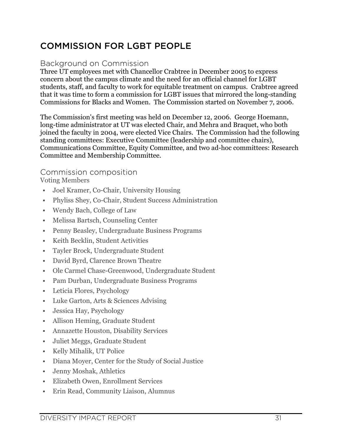# COMMISSION FOR LGBT PEOPLE

#### Background on Commission

Three UT employees met with Chancellor Crabtree in December 2005 to express concern about the campus climate and the need for an official channel for LGBT students, staff, and faculty to work for equitable treatment on campus. Crabtree agreed that it was time to form a commission for LGBT issues that mirrored the long-standing Commissions for Blacks and Women. The Commission started on November 7, 2006.

The Commission's first meeting was held on December 12, 2006. George Hoemann, long-time administrator at UT was elected Chair, and Mehra and Braquet, who both joined the faculty in 2004, were elected Vice Chairs. The Commission had the following standing committees: Executive Committee (leadership and committee chairs), Communications Committee, Equity Committee, and two ad-hoc committees: Research Committee and Membership Committee.

#### Commission composition Voting Members

- ! Joel Kramer, Co-Chair, University Housing
- ! Phyliss Shey, Co-Chair, Student Success Administration
- ! Wendy Bach, College of Law
- ! Melissa Bartsch, Counseling Center
- ! Penny Beasley, Undergraduate Business Programs
- ! Keith Becklin, Student Activities
- ! Tayler Brock, Undergraduate Student
- ! David Byrd, Clarence Brown Theatre
- ! Ole Carmel Chase-Greenwood, Undergraduate Student
- ! Pam Durban, Undergraduate Business Programs
- ! Leticia Flores, Psychology
- ! Luke Garton, Arts & Sciences Advising
- ! Jessica Hay, Psychology
- ! Allison Heming, Graduate Student
- ! Annazette Houston, Disability Services
- ! Juliet Meggs, Graduate Student
- ! Kelly Mihalik, UT Police
- ! Diana Moyer, Center for the Study of Social Justice
- ! Jenny Moshak, Athletics
- ! Elizabeth Owen, Enrollment Services
- ! Erin Read, Community Liaison, Alumnus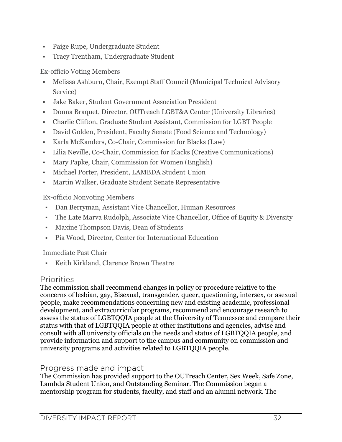- ! Paige Rupe, Undergraduate Student
- ! Tracy Trentham, Undergraduate Student

Ex-officio Voting Members

- ! Melissa Ashburn, Chair, Exempt Staff Council (Municipal Technical Advisory Service)
- ! Jake Baker, Student Government Association President
- ! Donna Braquet, Director, OUTreach LGBT&A Center (University Libraries)
- ! Charlie Clifton, Graduate Student Assistant, Commission for LGBT People
- ! David Golden, President, Faculty Senate (Food Science and Technology)
- ! Karla McKanders, Co-Chair, Commission for Blacks (Law)
- ! Lilia Neville, Co-Chair, Commission for Blacks (Creative Communications)
- ! Mary Papke, Chair, Commission for Women (English)
- ! Michael Porter, President, LAMBDA Student Union
- ! Martin Walker, Graduate Student Senate Representative

Ex-officio Nonvoting Members

- ! Dan Berryman, Assistant Vice Chancellor, Human Resources
- ! The Late Marva Rudolph, Associate Vice Chancellor, Office of Equity & Diversity
- ! Maxine Thompson Davis, Dean of Students
- ! Pia Wood, Director, Center for International Education

Immediate Past Chair

! Keith Kirkland, Clarence Brown Theatre

#### Priorities

The commission shall recommend changes in policy or procedure relative to the concerns of lesbian, gay, Bisexual, transgender, queer, questioning, intersex, or asexual people, make recommendations concerning new and existing academic, professional development, and extracurricular programs, recommend and encourage research to assess the status of LGBTQQIA people at the University of Tennessee and compare their status with that of LGBTQQIA people at other institutions and agencies, advise and consult with all university officials on the needs and status of LGBTQQIA people, and provide information and support to the campus and community on commission and university programs and activities related to LGBTQQIA people.

#### Progress made and impact

The Commission has provided support to the OUTreach Center, Sex Week, Safe Zone, Lambda Student Union, and Outstanding Seminar. The Commission began a mentorship program for students, faculty, and staff and an alumni network. The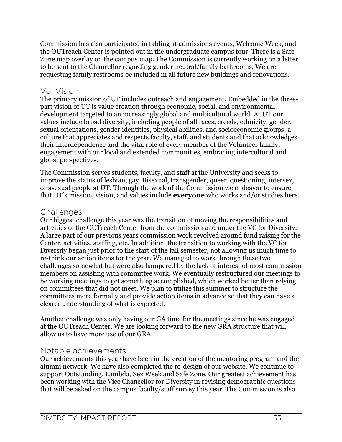Commission has also participated in tabling at admissions events, Welcome Week, and the OUTreach Center is pointed out in the undergraduate campus tour. There is a Safe Zone map overlay on the campus map. The Commission is currently working on a letter to be sent to the Chancellor regarding gender neutral/family bathrooms. We are requesting family restrooms be included in all future new buildings and renovations.

#### Vol Vision

The primary mission of UT includes outreach and engagement. Embedded in the threepart vision of UT is value creation through economic, social, and environmental development targeted to an increasingly global and multicultural world. At UT our values include broad diversity, including people of all races, creeds, ethnicity, gender, sexual orientations, gender identities, physical abilities, and socioeconomic groups; a culture that appreciates and respects faculty, staff, and students and that acknowledges their interdependence and the vital role of every member of the Volunteer family; engagement with our local and extended communities, embracing intercultural and global perspectives.

The Commission serves students, faculty, and staff at the University and seeks to improve the status of lesbian, gay, Bisexual, transgender, queer, questioning, intersex, or asexual people at UT. Through the work of the Commission we endeavor to ensure that UT's mission, vision, and values include **everyone** who works and/or studies here.

#### **Challenges**

Our biggest challenge this year was the transition of moving the responsibilities and activities of the OUTreach Center from the commission and under the VC for Diversity. A large part of our previous years commission work revolved around fund raising for the Center, activities, staffing, etc. In addition, the transition to working with the VC for Diversity began just prior to the start of the fall semester, not allowing us much time to re-think our action items for the year. We managed to work through these two challenges somewhat but were also hampered by the lack of interest of most commission members on assisting with committee work. We eventually restructured our meetings to be working meetings to get something accomplished, which worked better than relying on committees that did not meet. We plan to utilize this summer to structure the committees more formally and provide action items in advance so that they can have a clearer understanding of what is expected.

Another challenge was only having our GA time for the meetings since he was engaged at the OUTreach Center. We are looking forward to the new GRA structure that will allow us to have more use of our GRA.

#### Notable achievements

Our achievements this year have been in the creation of the mentoring program and the alumni network. We have also completed the re-design of our website. We continue to support Outstanding, Lambda, Sex Week and Safe Zone. Our greatest achievement has been working with the Vice Chancellor for Diversity in revising demographic questions that will be asked on the campus faculty/staff survey this year. The Commission is also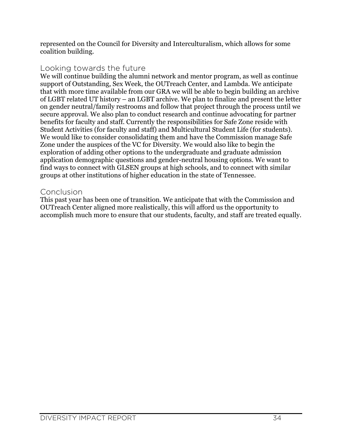represented on the Council for Diversity and Interculturalism, which allows for some coalition building.

#### Looking towards the future

We will continue building the alumni network and mentor program, as well as continue support of Outstanding, Sex Week, the OUTreach Center, and Lambda. We anticipate that with more time available from our GRA we will be able to begin building an archive of LGBT related UT history – an LGBT archive. We plan to finalize and present the letter on gender neutral/family restrooms and follow that project through the process until we secure approval. We also plan to conduct research and continue advocating for partner benefits for faculty and staff. Currently the responsibilities for Safe Zone reside with Student Activities (for faculty and staff) and Multicultural Student Life (for students). We would like to consider consolidating them and have the Commission manage Safe Zone under the auspices of the VC for Diversity. We would also like to begin the exploration of adding other options to the undergraduate and graduate admission application demographic questions and gender-neutral housing options. We want to find ways to connect with GLSEN groups at high schools, and to connect with similar groups at other institutions of higher education in the state of Tennessee.

#### Conclusion

This past year has been one of transition. We anticipate that with the Commission and OUTreach Center aligned more realistically, this will afford us the opportunity to accomplish much more to ensure that our students, faculty, and staff are treated equally.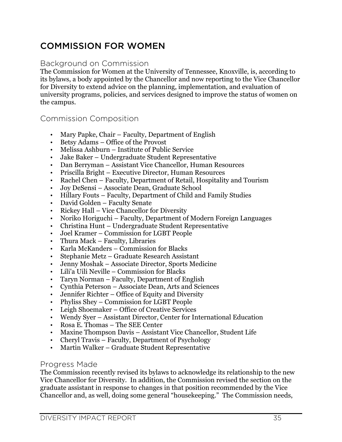# COMMISSION FOR WOMEN

#### Background on Commission

The Commission for Women at the University of Tennessee, Knoxville, is, according to its bylaws, a body appointed by the Chancellor and now reporting to the Vice Chancellor for Diversity to extend advice on the planning, implementation, and evaluation of university programs, policies, and services designed to improve the status of women on the campus.

#### Commission Composition

- Mary Papke, Chair Faculty, Department of English
- Betsy Adams Office of the Provost
- Melissa Ashburn Institute of Public Service
- Jake Baker Undergraduate Student Representative
- Dan Berryman Assistant Vice Chancellor, Human Resources
- Priscilla Bright Executive Director, Human Resources
- Rachel Chen Faculty, Department of Retail, Hospitality and Tourism
- Joy DeSensi Associate Dean, Graduate School
- Hillary Fouts Faculty, Department of Child and Family Studies
- David Golden Faculty Senate
- Rickey Hall Vice Chancellor for Diversity
- Noriko Horiguchi Faculty, Department of Modern Foreign Languages
- Christina Hunt Undergraduate Student Representative
- Joel Kramer Commission for LGBT People
- Thura Mack Faculty, Libraries
- Karla McKanders Commission for Blacks
- Stephanie Metz Graduate Research Assistant
- Jenny Moshak Associate Director, Sports Medicine
- Lili'a Uili Neville Commission for Blacks
- Taryn Norman Faculty, Department of English
- Cynthia Peterson Associate Dean, Arts and Sciences
- Jennifer Richter Office of Equity and Diversity
- Phyliss Shey Commission for LGBT People
- Leigh Shoemaker Office of Creative Services
- Wendy Syer Assistant Director, Center for International Education
- Rosa E. Thomas The SEE Center
- Maxine Thompson Davis Assistant Vice Chancellor, Student Life
- Cheryl Travis Faculty, Department of Psychology
- Martin Walker Graduate Student Representative

#### Progress Made

The Commission recently revised its bylaws to acknowledge its relationship to the new Vice Chancellor for Diversity. In addition, the Commission revised the section on the graduate assistant in response to changes in that position recommended by the Vice Chancellor and, as well, doing some general "housekeeping." The Commission needs,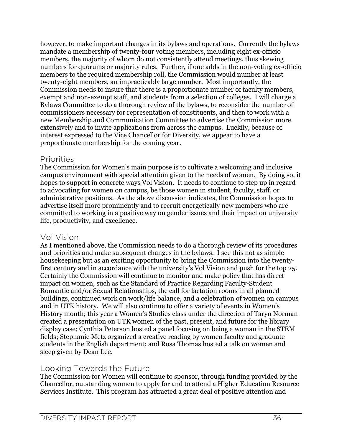however, to make important changes in its bylaws and operations. Currently the bylaws mandate a membership of twenty-four voting members, including eight ex-officio members, the majority of whom do not consistently attend meetings, thus skewing numbers for quorums or majority rules. Further, if one adds in the non-voting ex-officio members to the required membership roll, the Commission would number at least twenty-eight members, an impracticably large number. Most importantly, the Commission needs to insure that there is a proportionate number of faculty members, exempt and non-exempt staff, and students from a selection of colleges. I will charge a Bylaws Committee to do a thorough review of the bylaws, to reconsider the number of commissioners necessary for representation of constituents, and then to work with a new Membership and Communication Committee to advertise the Commission more extensively and to invite applications from across the campus. Luckily, because of interest expressed to the Vice Chancellor for Diversity, we appear to have a proportionate membership for the coming year.

#### Priorities

The Commission for Women's main purpose is to cultivate a welcoming and inclusive campus environment with special attention given to the needs of women. By doing so, it hopes to support in concrete ways Vol Vision. It needs to continue to step up in regard to advocating for women on campus, be those women in student, faculty, staff, or administrative positions. As the above discussion indicates, the Commission hopes to advertise itself more prominently and to recruit energetically new members who are committed to working in a positive way on gender issues and their impact on university life, productivity, and excellence.

#### Vol Vision

As I mentioned above, the Commission needs to do a thorough review of its procedures and priorities and make subsequent changes in the bylaws. I see this not as simple housekeeping but as an exciting opportunity to bring the Commission into the twentyfirst century and in accordance with the university's Vol Vision and push for the top 25. Certainly the Commission will continue to monitor and make policy that has direct impact on women, such as the Standard of Practice Regarding Faculty-Student Romantic and/or Sexual Relationships, the call for lactation rooms in all planned buildings, continued work on work/life balance, and a celebration of women on campus and in UTK history. We will also continue to offer a variety of events in Women's History month; this year a Women's Studies class under the direction of Taryn Norman created a presentation on UTK women of the past, present, and future for the library display case; Cynthia Peterson hosted a panel focusing on being a woman in the STEM fields; Stephanie Metz organized a creative reading by women faculty and graduate students in the English department; and Rosa Thomas hosted a talk on women and sleep given by Dean Lee.

#### Looking Towards the Future

The Commission for Women will continue to sponsor, through funding provided by the Chancellor, outstanding women to apply for and to attend a Higher Education Resource Services Institute. This program has attracted a great deal of positive attention and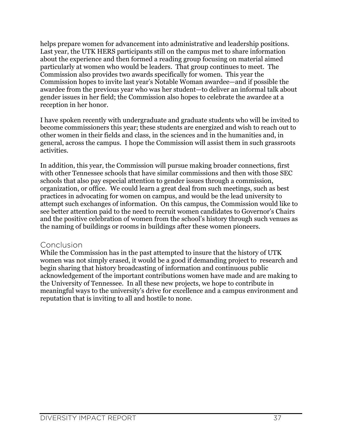helps prepare women for advancement into administrative and leadership positions. Last year, the UTK HERS participants still on the campus met to share information about the experience and then formed a reading group focusing on material aimed particularly at women who would be leaders. That group continues to meet. The Commission also provides two awards specifically for women. This year the Commission hopes to invite last year's Notable Woman awardee—and if possible the awardee from the previous year who was her student—to deliver an informal talk about gender issues in her field; the Commission also hopes to celebrate the awardee at a reception in her honor.

I have spoken recently with undergraduate and graduate students who will be invited to become commissioners this year; these students are energized and wish to reach out to other women in their fields and class, in the sciences and in the humanities and, in general, across the campus. I hope the Commission will assist them in such grassroots activities.

In addition, this year, the Commission will pursue making broader connections, first with other Tennessee schools that have similar commissions and then with those SEC schools that also pay especial attention to gender issues through a commission, organization, or office. We could learn a great deal from such meetings, such as best practices in advocating for women on campus, and would be the lead university to attempt such exchanges of information. On this campus, the Commission would like to see better attention paid to the need to recruit women candidates to Governor's Chairs and the positive celebration of women from the school's history through such venues as the naming of buildings or rooms in buildings after these women pioneers.

#### Conclusion

While the Commission has in the past attempted to insure that the history of UTK women was not simply erased, it would be a good if demanding project to research and begin sharing that history broadcasting of information and continuous public acknowledgement of the important contributions women have made and are making to the University of Tennessee. In all these new projects, we hope to contribute in meaningful ways to the university's drive for excellence and a campus environment and reputation that is inviting to all and hostile to none.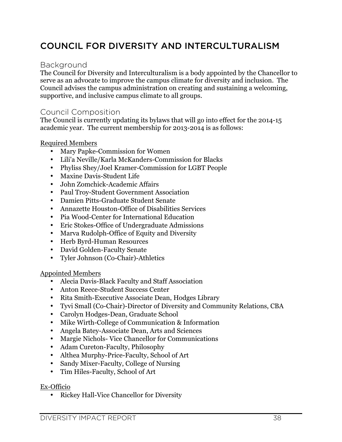# COUNCIL FOR DIVERSITY AND INTERCULTURALISM

#### Background

The Council for Diversity and Interculturalism is a body appointed by the Chancellor to serve as an advocate to improve the campus climate for diversity and inclusion. The Council advises the campus administration on creating and sustaining a welcoming, supportive, and inclusive campus climate to all groups.

#### Council Composition

The Council is currently updating its bylaws that will go into effect for the 2014-15 academic year. The current membership for 2013-2014 is as follows:

#### Required Members

- Mary Papke-Commission for Women
- Lili'a Neville/Karla McKanders-Commission for Blacks
- Phyliss Shey/Joel Kramer-Commission for LGBT People
- Maxine Davis-Student Life
- John Zomchick-Academic Affairs
- Paul Troy-Student Government Association
- Damien Pitts-Graduate Student Senate
- Annazette Houston-Office of Disabilities Services
- Pia Wood-Center for International Education
- Eric Stokes-Office of Undergraduate Admissions
- Marva Rudolph-Office of Equity and Diversity
- Herb Byrd-Human Resources
- David Golden-Faculty Senate
- Tyler Johnson (Co-Chair)-Athletics

#### Appointed Members

- Alecia Davis-Black Faculty and Staff Association
- Anton Reece-Student Success Center
- Rita Smith-Executive Associate Dean, Hodges Library
- Tyvi Small (Co-Chair)-Director of Diversity and Community Relations, CBA
- Carolyn Hodges-Dean, Graduate School
- Mike Wirth-College of Communication & Information
- Angela Batey-Associate Dean, Arts and Sciences
- Margie Nichols- Vice Chancellor for Communications
- Adam Cureton-Faculty, Philosophy
- Althea Murphy-Price-Faculty, School of Art
- Sandy Mixer-Faculty, College of Nursing
- Tim Hiles-Faculty, School of Art

#### Ex-Officio

• Rickey Hall-Vice Chancellor for Diversity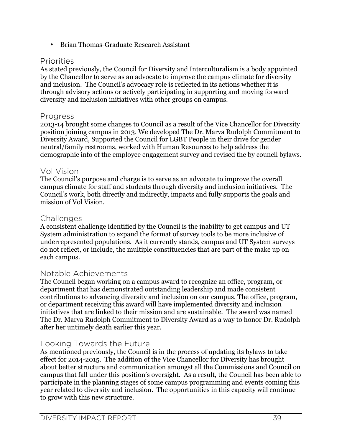• Brian Thomas-Graduate Research Assistant

#### Priorities

As stated previously, the Council for Diversity and Interculturalism is a body appointed by the Chancellor to serve as an advocate to improve the campus climate for diversity and inclusion. The Council's advocacy role is reflected in its actions whether it is through advisory actions or actively participating in supporting and moving forward diversity and inclusion initiatives with other groups on campus.

#### Progress

2013-14 brought some changes to Council as a result of the Vice Chancellor for Diversity position joining campus in 2013. We developed The Dr. Marva Rudolph Commitment to Diversity Award, Supported the Council for LGBT People in their drive for gender neutral/family restrooms, worked with Human Resources to help address the demographic info of the employee engagement survey and revised the by council bylaws.

#### Vol Vision

The Council's purpose and charge is to serve as an advocate to improve the overall campus climate for staff and students through diversity and inclusion initiatives. The Council's work, both directly and indirectly, impacts and fully supports the goals and mission of Vol Vision.

#### **Challenges**

A consistent challenge identified by the Council is the inability to get campus and UT System administration to expand the format of survey tools to be more inclusive of underrepresented populations. As it currently stands, campus and UT System surveys do not reflect, or include, the multiple constituencies that are part of the make up on each campus.

#### Notable Achievements

The Council began working on a campus award to recognize an office, program, or department that has demonstrated outstanding leadership and made consistent contributions to advancing diversity and inclusion on our campus. The office, program, or department receiving this award will have implemented diversity and inclusion initiatives that are linked to their mission and are sustainable. The award was named The Dr. Marva Rudolph Commitment to Diversity Award as a way to honor Dr. Rudolph after her untimely death earlier this year.

#### Looking Towards the Future

As mentioned previously, the Council is in the process of updating its bylaws to take effect for 2014-2015. The addition of the Vice Chancellor for Diversity has brought about better structure and communication amongst all the Commissions and Council on campus that fall under this position's oversight. As a result, the Council has been able to participate in the planning stages of some campus programming and events coming this year related to diversity and inclusion. The opportunities in this capacity will continue to grow with this new structure.